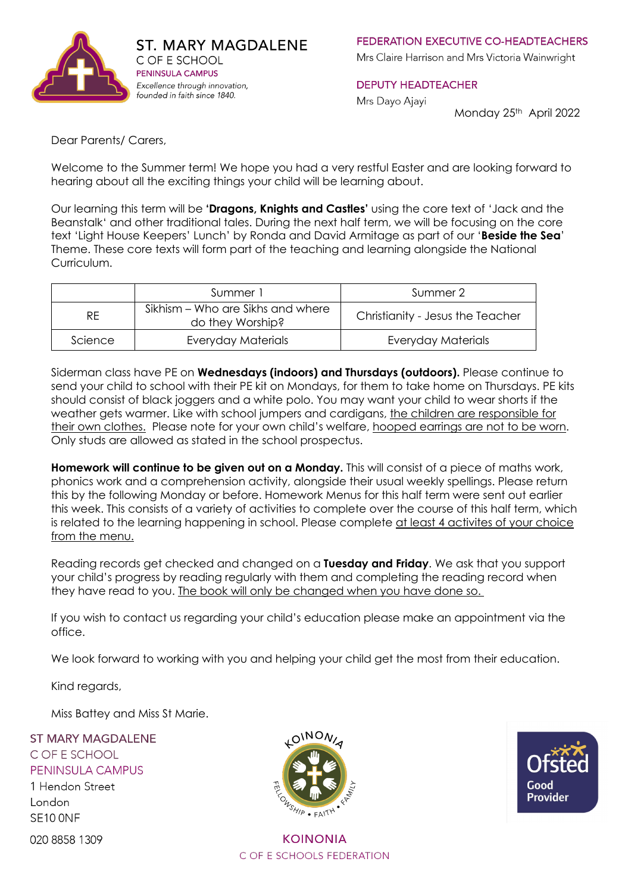

**FEDERATION EXECUTIVE CO-HEADTEACHERS** 

Mrs Claire Harrison and Mrs Victoria Wainwright

#### **DEPUTY HEADTEACHER**

Mrs Dayo Ajayi

Monday 25th April 2022

Dear Parents/ Carers,

Welcome to the Summer term! We hope you had a very restful Easter and are looking forward to hearing about all the exciting things your child will be learning about.

Our learning this term will be **'Dragons, Knights and Castles'** using the core text of 'Jack and the Beanstalk' and other traditional tales. During the next half term, we will be focusing on the core text 'Light House Keepers' Lunch' by Ronda and David Armitage as part of our '**Beside the Sea**' Theme. These core texts will form part of the teaching and learning alongside the National Curriculum.

|           | Summer 1                                              | Summer 2                         |
|-----------|-------------------------------------------------------|----------------------------------|
| <b>RE</b> | Sikhism – Who are Sikhs and where<br>do they Worship? | Christianity - Jesus the Teacher |
| Science   | Everyday Materials                                    | <b>Everyday Materials</b>        |

Siderman class have PE on **Wednesdays (indoors) and Thursdays (outdoors).** Please continue to send your child to school with their PE kit on Mondays, for them to take home on Thursdays. PE kits should consist of black joggers and a white polo. You may want your child to wear shorts if the weather gets warmer. Like with school jumpers and cardigans, the children are responsible for their own clothes. Please note for your own child's welfare, hooped earrings are not to be worn. Only studs are allowed as stated in the school prospectus.

**Homework will continue to be given out on a Monday.** This will consist of a piece of maths work, phonics work and a comprehension activity, alongside their usual weekly spellings. Please return this by the following Monday or before. Homework Menus for this half term were sent out earlier this week. This consists of a variety of activities to complete over the course of this half term, which is related to the learning happening in school. Please complete at least 4 activites of your choice from the menu.

Reading records get checked and changed on a **Tuesday and Friday**. We ask that you support your child's progress by reading regularly with them and completing the reading record when they have read to you. The book will only be changed when you have done so.

If you wish to contact us regarding your child's education please make an appointment via the office.

We look forward to working with you and helping your child get the most from their education.

Kind regards,

Miss Battey and Miss St Marie.

**ST MARY MAGDAI FNF** C OF E SCHOOL PENINSULA CAMPUS

1 Hendon Street London SE10 ONF

020 8858 1309



**KOINONIA** C OF F SCHOOLS FEDERATION